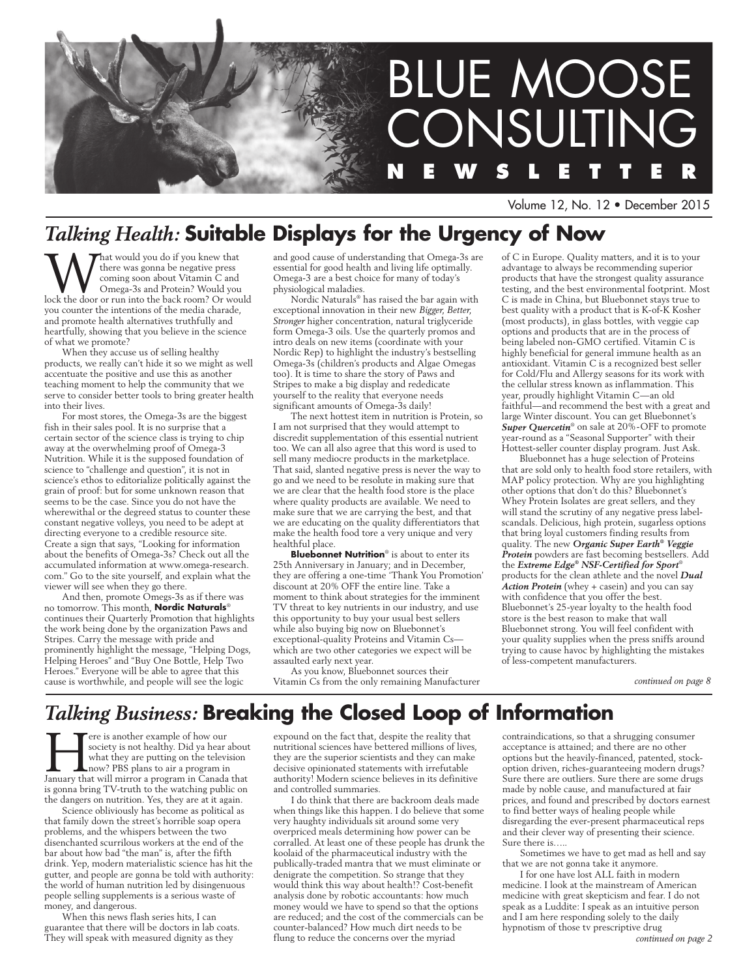

Volume 12, No. 12 • December 2015

# *Talking Health:* **Suitable Displays for the Urgency of Now**

**W** there was gonna be negative press<br>coming soon about Vitamin C and<br>Omega-3s and Protein? Would you<br>lock the door or run into the back room? Or wou there was gonna be negative press coming soon about Vitamin C and Omega-3s and Protein? Would you lock the door or run into the back room? Or would you counter the intentions of the media charade, and promote health alternatives truthfully and heartfully, showing that you believe in the science of what we promote?

When they accuse us of selling healthy products, we really can't hide it so we might as well accentuate the positive and use this as another teaching moment to help the community that we serve to consider better tools to bring greater health into their lives.

For most stores, the Omega-3s are the biggest fish in their sales pool. It is no surprise that a certain sector of the science class is trying to chip away at the overwhelming proof of Omega-3 Nutrition. While it is the supposed foundation of science to "challenge and question", it is not in science's ethos to editorialize politically against the grain of proof: but for some unknown reason that seems to be the case. Since you do not have the wherewithal or the degreed status to counter these constant negative volleys, you need to be adept at directing everyone to a credible resource site. Create a sign that says, "Looking for information about the benefits of Omega-3s? Check out all the accumulated information at www.omega-research. com." Go to the site yourself, and explain what the viewer will see when they go there.

And then, promote Omegs-3s as if there was no tomorrow. This month, **Nordic Naturals**® continues their Quarterly Promotion that highlights the work being done by the organization Paws and Stripes. Carry the message with pride and prominently highlight the message, "Helping Dogs, Helping Heroes" and "Buy One Bottle, Help Two Heroes." Everyone will be able to agree that this cause is worthwhile, and people will see the logic

and good cause of understanding that Omega-3s are essential for good health and living life optimally. Omega-3 are a best choice for many of today's physiological maladies.

Nordic Naturals® has raised the bar again with exceptional innovation in their new *Bigger, Better,*  Stronger higher concentration, natural triglyceride form Omega-3 oils. Use the quarterly promos and intro deals on new items (coordinate with your Nordic Rep) to highlight the industry's bestselling Omega-3s (children's products and Algae Omegas too). It is time to share the story of Paws and Stripes to make a big display and rededicate yourself to the reality that everyone needs significant amounts of Omega-3s daily!

The next hottest item in nutrition is Protein, so I am not surprised that they would attempt to discredit supplementation of this essential nutrient too. We can all also agree that this word is used to sell many mediocre products in the marketplace. That said, slanted negative press is never the way to go and we need to be resolute in making sure that we are clear that the health food store is the place where quality products are available. We need to make sure that we are carrying the best, and that we are educating on the quality differentiators that make the health food tore a very unique and very healthful place.

**Bluebonnet Nutrition**® is about to enter its 25th Anniversary in January; and in December, they are offering a one-time 'Thank You Promotion' discount at 20% OFF the entire line. Take a moment to think about strategies for the imminent TV threat to key nutrients in our industry, and use this opportunity to buy your usual best sellers while also buying big now on Bluebonnet's exceptional-quality Proteins and Vitamin Cs which are two other categories we expect will be assaulted early next year.

As you know, Bluebonnet sources their Vitamin Cs from the only remaining Manufacturer of C in Europe. Quality matters, and it is to your advantage to always be recommending superior products that have the strongest quality assurance testing, and the best environmental footprint. Most C is made in China, but Bluebonnet stays true to best quality with a product that is K-of-K Kosher (most products), in glass bottles, with veggie cap options and products that are in the process of being labeled non-GMO certified. Vitamin C is highly beneficial for general immune health as an antioxidant. Vitamin C is a recognized best seller for Cold/Flu and Allergy seasons for its work with the cellular stress known as inflammation. This year, proudly highlight Vitamin C—an old faithful—and recommend the best with a great and large Winter discount. You can get Bluebonnet's *Super Quercetin*® on sale at 20%-OFF to promote year-round as a "Seasonal Supporter" with their Hottest-seller counter display program. Just Ask.

Bluebonnet has a huge selection of Proteins that are sold only to health food store retailers, with MAP policy protection. Why are you highlighting other options that don't do this? Bluebonnet's Whey Protein Isolates are great sellers, and they will stand the scrutiny of any negative press labelscandals. Delicious, high protein, sugarless options that bring loyal customers finding results from quality. The new *Organic Super Earth® Veggie Protein* powders are fast becoming bestsellers. Add the *Extreme Edge® NSF-Certified for Sport*® products for the clean athlete and the novel *Dual Action Protein* (whey + casein) and you can say with confidence that you offer the best. Bluebonnet's 25-year loyalty to the health food store is the best reason to make that wall Bluebonnet strong. You will feel confident with your quality supplies when the press sniffs around trying to cause havoc by highlighting the mistakes of less-competent manufacturers.

*continued on page 8*

# *Talking Business:* **Breaking the Closed Loop of Information**

Fere is another example of how our<br>society is not healthy. Did ya hear about<br>what they are putting on the television<br>now? PBS plans to air a program in<br>January that will mirror a program in Canada that society is not healthy. Did ya hear about what they are putting on the television now? PBS plans to air a program in is gonna bring TV-truth to the watching public on the dangers on nutrition. Yes, they are at it again.

Science obliviously has become as political as that family down the street's horrible soap opera problems, and the whispers between the two disenchanted scurrilous workers at the end of the bar about how bad "the man" is, after the fifth drink. Yep, modern materialistic science has hit the gutter, and people are gonna be told with authority: the world of human nutrition led by disingenuous people selling supplements is a serious waste of money, and dangerous.

When this news flash series hits, I can guarantee that there will be doctors in lab coats. They will speak with measured dignity as they

expound on the fact that, despite the reality that nutritional sciences have bettered millions of lives, they are the superior scientists and they can make decisive opinionated statements with irrefutable authority! Modern science believes in its definitive and controlled summaries.

I do think that there are backroom deals made when things like this happen. I do believe that some very haughty individuals sit around some very overpriced meals determining how power can be corralled. At least one of these people has drunk the koolaid of the pharmaceutical industry with the publically-traded mantra that we must eliminate or denigrate the competition. So strange that they would think this way about health!? Cost-benefit analysis done by robotic accountants: how much money would we have to spend so that the options are reduced; and the cost of the commercials can be counter-balanced? How much dirt needs to be flung to reduce the concerns over the myriad

contraindications, so that a shrugging consumer acceptance is attained; and there are no other options but the heavily-financed, patented, stockoption driven, riches-guaranteeing modern drugs? Sure there are outliers. Sure there are some drugs made by noble cause, and manufactured at fair prices, and found and prescribed by doctors earnest to find better ways of healing people while disregarding the ever-present pharmaceutical reps and their clever way of presenting their science. Sure there is…..

Sometimes we have to get mad as hell and say that we are not gonna take it anymore.

I for one have lost ALL faith in modern medicine. I look at the mainstream of American medicine with great skepticism and fear. I do not speak as a Luddite: I speak as an intuitive person and I am here responding solely to the daily hypnotism of those tv prescriptive drug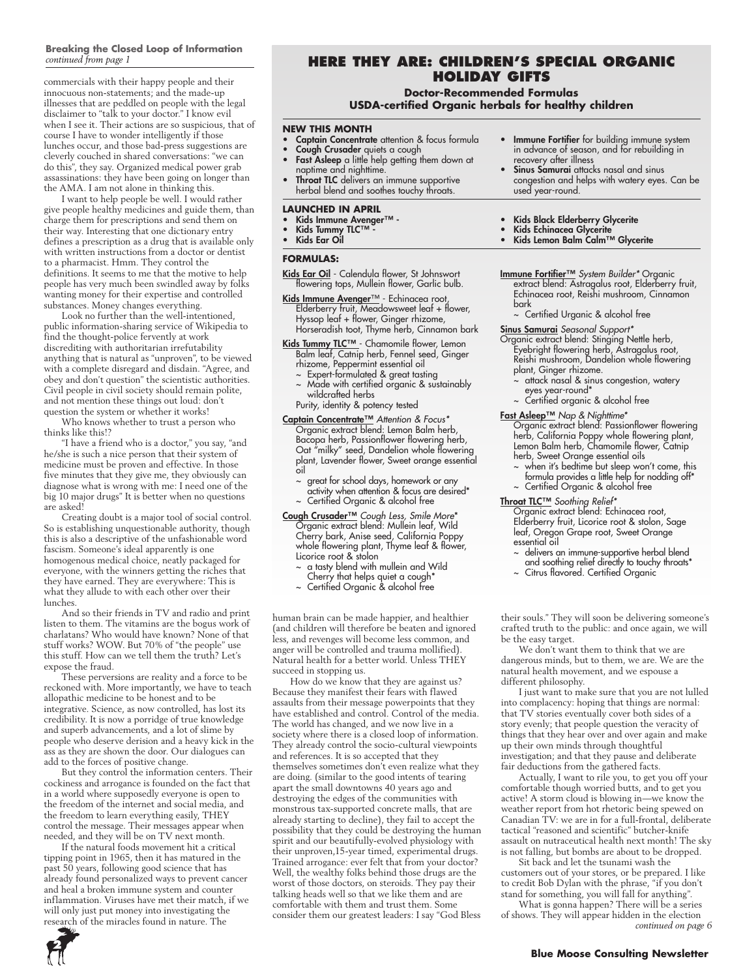# **Breaking the Closed Loop of Information**

commercials with their happy people and their innocuous non-statements; and the made-up illnesses that are peddled on people with the legal disclaimer to "talk to your doctor." I know evil when I see it. Their actions are so suspicious, that of course I have to wonder intelligently if those lunches occur, and those bad-press suggestions are cleverly couched in shared conversations: "we can do this", they say. Organized medical power grab assassinations: they have been going on longer than the AMA. I am not alone in thinking this.

I want to help people be well. I would rather give people healthy medicines and guide them, than charge them for prescriptions and send them on their way. Interesting that one dictionary entry defines a prescription as a drug that is available only with written instructions from a doctor or dentist to a pharmacist. Hmm. They control the definitions. It seems to me that the motive to help people has very much been swindled away by folks wanting money for their expertise and controlled substances. Money changes everything.

Look no further than the well-intentioned, public information-sharing service of Wikipedia to find the thought-police fervently at work discrediting with authoritarian irrefutability anything that is natural as "unproven", to be viewed with a complete disregard and disdain. "Agree, and obey and don't question" the scientistic authorities. Civil people in civil society should remain polite, and not mention these things out loud: don't question the system or whether it works!

Who knows whether to trust a person who thinks like this!?

"I have a friend who is a doctor," you say, "and he/she is such a nice person that their system of medicine must be proven and effective. In those five minutes that they give me, they obviously can diagnose what is wrong with me: I need one of the big 10 major drugs" It is better when no questions are asked!

Creating doubt is a major tool of social control. So is establishing unquestionable authority, though this is also a descriptive of the unfashionable word fascism. Someone's ideal apparently is one homogenous medical choice, neatly packaged for everyone, with the winners getting the riches that they have earned. They are everywhere: This is what they allude to with each other over their lunches.

And so their friends in TV and radio and print listen to them. The vitamins are the bogus work of charlatans? Who would have known? None of that stuff works? WOW. But 70% of "the people" use this stuff. How can we tell them the truth? Let's expose the fraud.

These perversions are reality and a force to be reckoned with. More importantly, we have to teach allopathic medicine to be honest and to be integrative. Science, as now controlled, has lost its credibility. It is now a porridge of true knowledge and superb advancements, and a lot of slime by people who deserve derision and a heavy kick in the ass as they are shown the door. Our dialogues can add to the forces of positive change.

But they control the information centers. Their cockiness and arrogance is founded on the fact that in a world where supposedly everyone is open to the freedom of the internet and social media, and the freedom to learn everything easily, THEY control the message. Their messages appear when needed, and they will be on TV next month.

If the natural foods movement hit a critical tipping point in 1965, then it has matured in the past 50 years, following good science that has already found personalized ways to prevent cancer and heal a broken immune system and counter inflammation. Viruses have met their match, if we will only just put money into investigating the research of the miracles found in nature. The

### **HERE THEY ARE: CHILDREN'S SPECIAL ORGANIC Holiday Gifts**

**Doctor-Recommended Formulas** 

**USDA-certified Organic herbals for healthy children**

#### **New this Month**

- Captain Concentrate attention & focus formula
- Cough Crusader quiets a cough Fast Asleep a little help getting them down at naptime and nighttime.
- Throat TLC delivers an immune supportive herbal blend and soothes touchy throats.

### **launched in April**

- Kids Immune Avenger™ -
- Kids Tummy TLC™ -
- Kids Ear Oil

### **FORMULAS:**

Kids Ear Oil - Calendula flower, St Johnswort flowering tops, Mullein flower, Garlic bulb.

Kids Immune Avenger™ - Echinacea root Elderberry fruit, Meadowsweet leaf + flower, Hyssop leaf + flower, Ginger rhizome, Horseradish toot, Thyme herb, Cinnamon bark

Kids Tummy TLC™ - Chamomile flower, Lemon Balm leaf, Catnip herb, Fennel seed, Ginger rhizome, Peppermint essential oil

- Expert-formulated & great tasting
- Made with certified organic & sustainably wildcrafted herbs
- Purity, identity & potency tested
- Captain Concentrate™ *Attention & Focus\**  Organic extract blend: Lemon Balm herb, Bacopa herb, Passionflower flowering herb, Oat "milky" seed, Dandelion whole flowering plant, Lavender flower, Sweet orange essential oil
	- great for school days, homework or any activity when attention & focus are desired\*
	- Certified Organic & alcohol free
- Cough Crusader™ *Cough Less, Smile More*\* Organic extract blend: Mullein leaf, Wild Cherry bark, Anise seed, California Poppy whole flowering plant, Thyme leaf & flower, Licorice root & stolon
	- a tasty blend with mullein and Wild Cherry that helps quiet a cough\*
	- Certified Organic & alcohol free

human brain can be made happier, and healthier (and children will therefore be beaten and ignored less, and revenges will become less common, and anger will be controlled and trauma mollified). Natural health for a better world. Unless THEY succeed in stopping us.

How do we know that they are against us? Because they manifest their fears with flawed assaults from their message powerpoints that they have established and control. Control of the media. The world has changed, and we now live in a society where there is a closed loop of information. They already control the socio-cultural viewpoints and references. It is so accepted that they themselves sometimes don't even realize what they are doing. (similar to the good intents of tearing apart the small downtowns 40 years ago and destroying the edges of the communities with monstrous tax-supported concrete malls, that are already starting to decline), they fail to accept the possibility that they could be destroying the human spirit and our beautifully-evolved physiology with their unproven,15-year timed, experimental drugs. Trained arrogance: ever felt that from your doctor? Well, the wealthy folks behind those drugs are the worst of those doctors, on steroids. They pay their talking heads well so that we like them and are comfortable with them and trust them. Some consider them our greatest leaders: I say "God Bless

- Immune Fortifier for building immune system in advance of season, and for rebuilding in recovery after illness
- Sinus Samurai attacks nasal and sinus congestion and helps with watery eyes. Can be used year-round.
- Kids Black Elderberry Glycerite
- Kids Echinacea Glycerite
- Kids Lemon Balm Calm™ Glycerite
- Immune Fortifier™ *System Builder\** Organic extract blend: Astragalus root, Elderberry fruit, Echinacea root, Reishi mushroom, Cinnamon bark

~ Certified Urganic & alcohol free

- Sinus Samurai *Seasonal Support\**
- Organic extract blend: Stinging Nettle herb, Eyebright flowering herb, Astragalus root, Reishi mushroom, Dandelion whole flowering plant, Ginger rhizome.
	- attack nasal & sinus congestion, watery eyes year-round\*
	- Certified organic & alcohol free
- Fast Asleep™ *Nap & Nighttime\**
	- Organic extract blend: Passionflower flowering herb, California Poppy whole flowering plant, Lemon Balm herb, Chamomile flower, Catnip herb, Sweet Orange essential oils
	- ~ when it's bedtime but sleep won't come, this formula provides a little help for nodding off\*
	- ~ Certified Organic & alcohol free
- Throat TLC™ *Soothing Relief\**

Organic extract blend: Echinacea root, Elderberry fruit, Licorice root & stolon, Sage leaf, Oregon Grape root, Sweet Orange essential oil

- delivers an immune-supportive herbal blend and soothing relief directly to touchy throats\*
- ~ Citrus flavored. Certified Organic

their souls." They will soon be delivering someone's crafted truth to the public: and once again, we will be the easy target.

We don't want them to think that we are dangerous minds, but to them, we are. We are the natural health movement, and we espouse a different philosophy.

I just want to make sure that you are not lulled into complacency: hoping that things are normal: that TV stories eventually cover both sides of a story evenly; that people question the veracity of things that they hear over and over again and make up their own minds through thoughtful investigation; and that they pause and deliberate fair deductions from the gathered facts.

Actually, I want to rile you, to get you off your comfortable though worried butts, and to get you active! A storm cloud is blowing in—we know the weather report from hot rhetoric being spewed on Canadian TV: we are in for a full-frontal, deliberate tactical "reasoned and scientific" butcher-knife assault on nutraceutical health next month! The sky is not falling, but bombs are about to be dropped.

Sit back and let the tsunami wash the customers out of your stores, or be prepared. I like to credit Bob Dylan with the phrase, "if you don't stand for something, you will fall for anything".

What is gonna happen? There will be a series of shows. They will appear hidden in the election *continued on page 6*

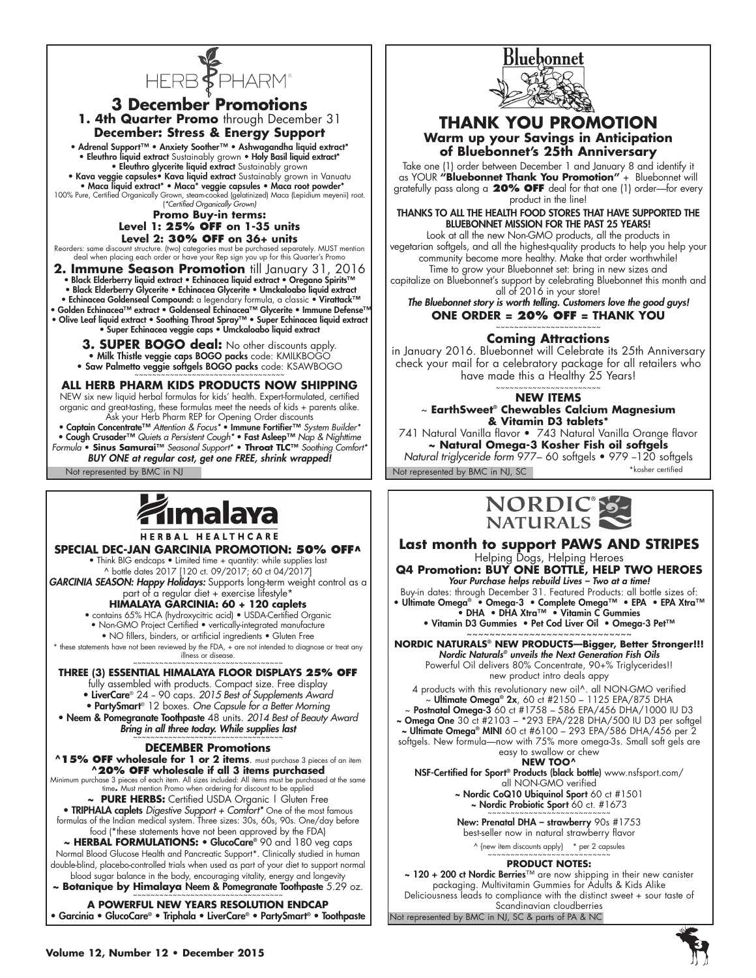

### **3 December Promotions 1. 4th Quarter Promo** through December 31 **December: Stress & Energy Support**

• Adrenal Support™ • Anxiety Soother™ • Ashwagandha liquid extract\* • Eleuthro liquid extract Sustainably grown • Holy Basil liquid extract\* • Eleuthro glycerite liquid extract Sustainably grown

• Kava veggie capsules• Kava liquid extract Sustainably grown in Vanuatu<br>• Maca liquid extract\* • Maca\* veggie capsules • Maca root powder\*<br>100% Pure, Certified Organically (rown, steam-cooked (gelatinized) Maca (Lepidium

**Promo Buy-in terms: Level 1: 25% OFF on 1-35 units Level 2: 30% OFF on 36+ units**

Reorders: same discount structure. (two) categories must be purchased separately. MUST mention deal when placing each order or have your Rep sign you up for this Quarter's Promo

**2. Immune Season Promotion** till January 31, 2016 • Black Elderberry liquid extract • Echinacea liquid extract • Oregano Spirits™ • Black Elderberry Glycerite • Echinacea Glycerite • Umckaloabo liquid extract • Echinacea Goldenseal Compound: a legendary formula, a classic • Virattack™ • Golden Echinacea™ extract • Goldenseal Echinacea™ Glycerite • Immune Defense™

• Olive Leaf liquid extract • Soothing Throat Spray™ • Super Echinacea liquid extract • Super Echinacea veggie caps • Umckaloabo liquid extract

**3. SUPER BOGO deal:** No other discounts apply. • Milk Thistle veggie caps BOGO packs code: KMILKBO

# • Saw Palmetto veggie softgels BOGO packs code: KSAWBO

### **ALL HERB PHARM KIDS PRODUCTS NOW SHIPPING**

NEW six new liquid herbal formulas for kids' health. Expert-formulated, certified organic and great-tasting, these formulas meet the needs of kids + parents alike. Ask your Herb Pharm REP for Opening Order discounts

Not represented by BMC in NJ Not represented by BMC in NJ, SC • Captain Concentrate™ *Attention & Focus\** • Immune Fortifier™ *System Builder\** • Cough Crusader™ *Quiets a Persistent Cough\** • Fast Asleep™ *Nap & Nighttime Formula* **• Sinus Samurai™** *Seasonal Support\** **• Throat TLC™** *Soothing Comfort\* BUY ONE at regular cost, get one FREE, shrink wrapped!* 

# malaya

### **HERBAL HEALTHCARE SPECIAL DEC-JAN GARCINIA PROMOTION: 50% OFF^**

• Think BIG endcaps • Limited time + quantity: while supplies last ^ bottle dates 2017 [120 ct. 09/2017; 60 ct 04/2017] *GARCINIA SEASON: Happy Holidays:* Supports long-term weight control as a

### part of a regular diet + exercise lifestyle\* **HIMALAYA GARCINIA: 60 + 120 caplets**

• contains 65% HCA (hydroxycitric acid) • USDA-Certified Organic • Non-GMO Project Certified • vertically-integrated manufacture

• NO fillers, binders, or artificial ingredients • Gluten Free

\* these statements have not been reviewed by the FDA, + are not intended to diagnose or treat any illness or disease.

## **THREE (3) ESSENTIAL HIMALAYA FLOOR DISPLAYS 25% OFF**

fully assembled with products. Compact size. Free display

• LiverCare<sup>®</sup> 24 - 90 caps. 2015 Best of Supplements Award

• PartySmart® 12 boxes. *One Capsule for a Better Morning*

• Neem & Pomegranate Toothpaste 48 units. *2014 Best of Beauty Award*  **Bring in all three today. While supplies last** 

### **DECEMBER Promotions**

**^15% OFF wholesale for 1 or 2 items**. must purchase 3 pieces of an item **^20% OFF wholesale if all 3 items purchased**<br>Minimum purchase 3 pieces of each item. All sizes included: All items must be purchased at the same<br>time. Must mention Promo when ordering for discount to be applied **~ PURE HERBS:** Certified USDA Organic | Gluten Free

• TRIPHALA caplets *Digestive Support + Comfort\** One of the most famous formulas of the Indian medical system. Three sizes: 30s, 60s, 90s. One/day before food (\*these statements have not been approved by the FDA) **~ HERBAL FORMULATIONS:** • GlucoCare® 90 and 180 veg caps Normal Blood Glucose Health and Pancreatic Support\*. Clinically studied in human

double-blind, placebo-controlled trials when used as part of your diet to support normal blood sugar balance in the body, encouraging vitality, energy and longevity

~ **Botanique by Himalaya Neem & Pomegranate Toothpaste** 5.29 oz.

**A POWERFUL NEW YEARS RESOLUTION ENDCAP** • Garcinia • GlucoCare® • Triphala • LiverCare® • PartySmart® • Toothpaste



### **THANK YOU PROMOTION Warm up your Savings in Anticipation of Bluebonnet's 25th Anniversary**

Take one (1) order between December 1 and January 8 and identify it as YOUR **"Bluebonnet Thank You Promotion"** + Bluebonnet will gratefully pass along a **20% OFF** deal for that one (1) order—for every product in the line!

Thanks to all the health food stores that have supported the Bluebonnet mission for the past 25 years!

Look at all the new Non-GMO products, all the products in vegetarian softgels, and all the highest-quality products to help you help your community become more healthy. Make that order worthwhile! Time to grow your Bluebonnet set: bring in new sizes and

capitalize on Bluebonnet's support by celebrating Bluebonnet this month and all of 2016 in your store!

### *The Bluebonnet story is worth telling. Customers love the good guys!* **ONE ORDER = 20% OFF = THANK YOU**

#### ~~~~~~~~~~~~~~~~~~~~~ **Coming Attractions**

in January 2016. Bluebonnet will Celebrate its 25th Anniversary check your mail for a celebratory package for all retailers who have made this a Healthy 25 Years!

~~~~~~~~~~~~~~~~~~~~~ **NEW ITEMS**

~ **EarthSweet® Chewables Calcium Magnesium & Vitamin D3 tablets\***

741 Natural Vanilla flavor • 743 Natural Vanilla Orange flavor **~ Natural Omega-3 Kosher Fish oil softgels** *Natural triglyceride form* 977– 60 softgels • 979 --120 softgels

\*kosher certified



# **Last month to support PAWS AND STRIPES**

Helping Dogs, Helping Heroes **Q4 Promotion: BUY ONE BOTTLE, HELP TWO HEROES** *Your Purchase helps rebuild Lives – Two at a time!*

Buy-in dates: through December 31. Featured Products: all bottle sizes of: • Ultimate Omega® • Omega-3 • Complete Omega™ • EPA • EPA Xtra™

• DHA • DHA Xtra™ • Vitamin C Gummies • Vitamin D3 Gummies • Pet Cod Liver Oil • Omega-3 Pet™

~~~~~~~~~~~~~~~~~~~~~~~~~ **NORDIC NATURALS® NEW PRODUCTS—Bigger, Better Stronger!!!** *Nordic Naturals® unveils the Next Generation Fish Oils*

Powerful Oil delivers 80% Concentrate, 90+% Triglycerides!! new product intro deals appy

4 products with this revolutionary new oil^. all NON-GMO verified ~ Ultimate Omega® 2x, 60 ct #2150 – 1125 EPA/875 DHA  $\sim$  Postnatal Omega-3 60 ct #1758 – 586 EPA/456 DHA/1000 IU D3 ~ Omega One 30 ct #2103 – \*293 EPA/228 DHA/500 IU D3 per softgel ~ Ultimate Omega® MINI 60 ct #6100 - 293 EPA/586 DHA/456 per 2 softgels. New formula—now with 75% more omega-3s. Small soft gels are easy to swallow or chew

**new too^**

NSF-Certified for Sport® Products (black bottle) www.nsfsport.com/ all NON-GMO verified ~ Nordic CoQ10 Ubiquinol Sport 60 ct #1501 ~ Nordic Probiotic Sport 60 ct. #1673

> New: Prenatal DHA – strawberry 90s #1753 best-seller now in natural strawberry flavor

^ {new item discounts apply} \* per 2 capsules<br>~~~~~~~~~~~~~~~~~~~~~~~~~~~~~~

**PRODUCT NOTES:**

 $\sim$  120 + 200 ct Nordic Berries<sup>™</sup> are now shipping in their new canister packaging. Multivitamin Gummies for Adults & Kids Alike Deliciousness leads to compliance with the distinct sweet + sour taste of Scandinavian cloudberries

Not represented by BMC in NJ, SC & parts of PA & NC

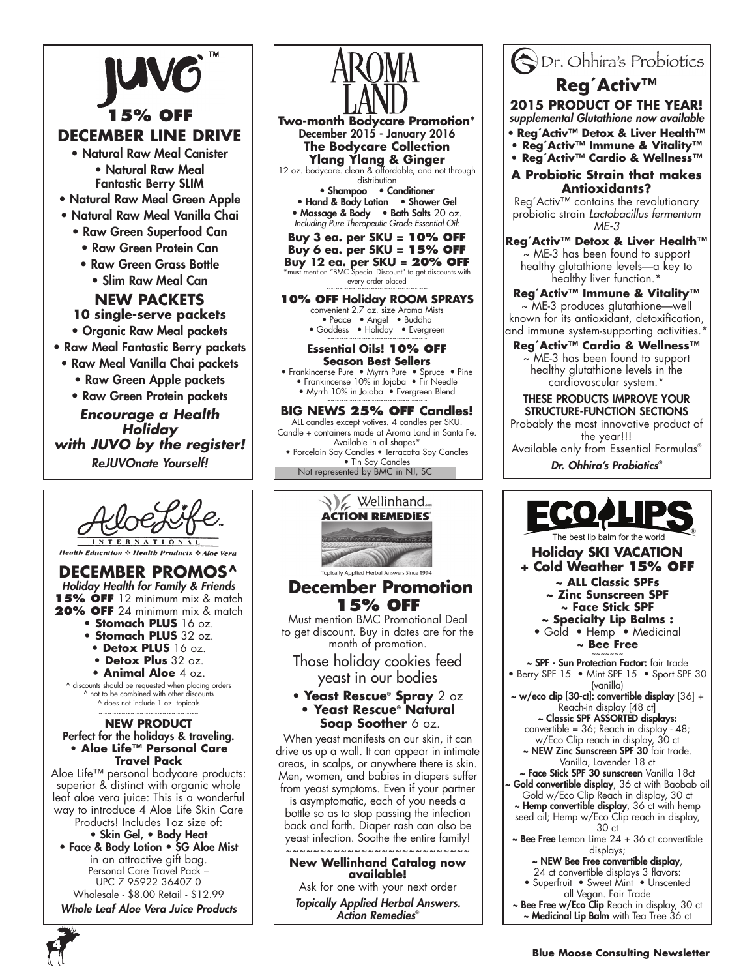



*Action Remedies*®

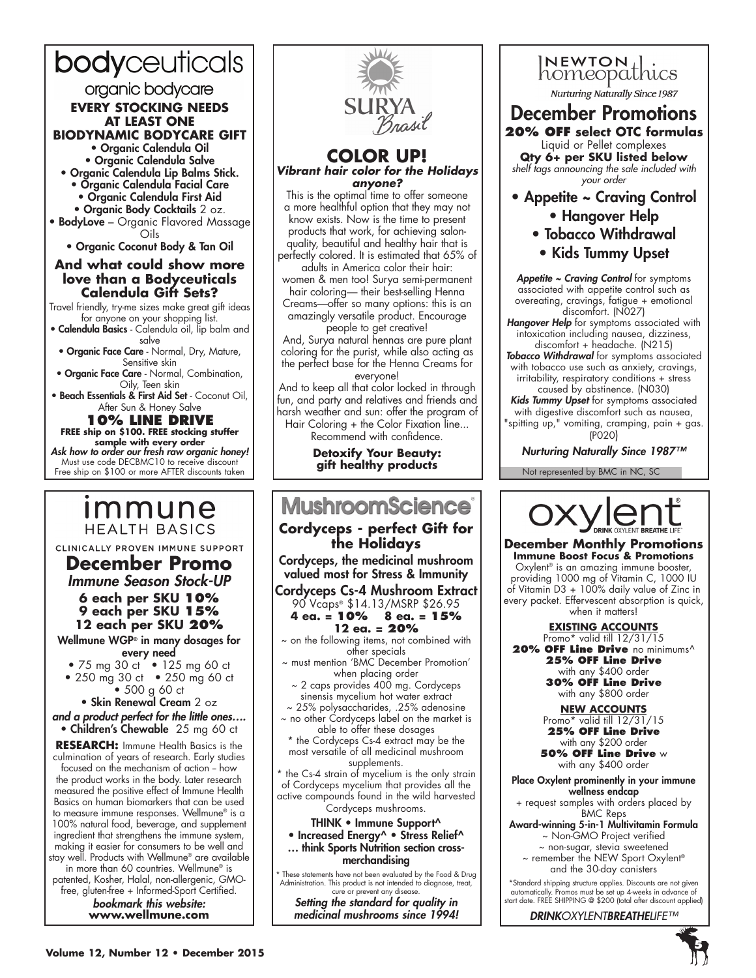# bodyceuticals

organic bodycare **EVERY STOCKING NEEDS AT LEAST ONE**

# **BIODYNAMIC BODYCARE GIFT**

• Organic Calendula Oil • Organic Calendula Salve

- Organic Calendula Lip Balms Stick.
- Organic Calendula Facial Care
- Organic Calendula First Aid
- Organic Body Cocktails 2 oz.
- BodyLove Organic Flavored Massage Oils

• Organic Coconut Body & Tan Oil

### **And what could show more love than a Bodyceuticals Calendula Gift Sets?**

Travel friendly, try-me sizes make great gift ideas for anyone on your shopping list.

• Calendula Basics - Calendula oil, lip balm and salve

**• Organic Face Care** - Normal, Dry, Mature, Sensitive skin

• Organic Face Care - Normal, Combination, Oily, Teen skin

• Beach Essentials & First Aid Set - Coconut Oil, After Sun & Honey Salve

**10% LINE DRIVE FREE ship on \$100. FREE stocking stuffer sample with every order** *Ask how to order our fresh raw organic honey!* Must use code DECBMC10 to receive discount Free ship on \$100 or more AFTER discounts taken

# <u>Immune</u> **HEALTH BASICS**

CLINICALLY PROVEN IMMUNE SUPPORT

**December Promo** *Immune Season Stock-UP*

**6 each per SKU 10% 9 each per SKU 15% 12 each per SKU 20%**

Wellmune WGP® in many dosages for every need

• 75 mg 30 ct • 125 mg 60 ct • 250 mg 30 ct • 250 mg 60 ct

• 500 g 60 ct • Skin Renewal Cream 2 oz

*and a product perfect for the little ones….* • Children's Chewable 25 mg 60 ct

**RESEARCH:** Immune Health Basics is the culmination of years of research. Early studies focused on the mechanism of action - how the product works in the body. Later research measured the positive effect of Immune Health Basics on human biomarkers that can be used to measure immune responses. Wellmune® is a 100% natural food, beverage, and supplement ingredient that strengthens the immune system, making it easier for consumers to be well and stay well. Products with Wellmune® are available in more than 60 countries. Wellmune® is patented, Kosher, Halal, non-allergenic, GMO-

free, gluten-free + Informed-Sport Certified. *bookmark this website:* 

**www.wellmune.com**



### **COLOR UP!** *Vibrant hair color for the Holidays anyone?*

This is the optimal time to offer someone a more healthful option that they may not know exists. Now is the time to present products that work, for achieving salonquality, beautiful and healthy hair that is

perfectly colored. It is estimated that 65% of adults in America color their hair:

women & men too! Surya semi-permanent hair coloring— their best-selling Henna Creams—offer so many options: this is an amazingly versatile product. Encourage

people to get creative! And, Surya natural hennas are pure plant coloring for the purist, while also acting as the perfect base for the Henna Creams for

everyone! And to keep all that color locked in through fun, and party and relatives and friends and harsh weather and sun: offer the program of Hair Coloring + the Color Fixation line...

Recommend with confidence.

**Detoxify Your Beauty: gift healthy products**

| Cordyceps - perfect Gift for                                                        |
|-------------------------------------------------------------------------------------|
| the Holidays<br>Cordyceps, the medicinal mushroom                                   |
| valued most for Stress & Immunity                                                   |
| Cordyceps Cs-4 Mushroom Extract<br>90 Vcaps® \$14.13/MSRP \$26.95                   |
| $4$ ea. = 10% $8$ ea. = 15%                                                         |
| 12 ea. = <b>20%</b>                                                                 |
| ~ on the following items, not combined with                                         |
| other specials<br>~ must mention 'BMC December Promotion'                           |
| when placing order                                                                  |
| ~ 2 caps provides 400 mg. Cordyceps<br>sinensis mycelium hot water extract          |
| ~ 25% polysaccharides, .25% adenosine                                               |
| ~ no other Cordyceps label on the market is                                         |
| able to offer these dosages                                                         |
| * the Cordyceps Cs-4 extract may be the<br>most versatile of all medicinal mushroom |
| supplements.                                                                        |
| * the Cs-4 strain of mycelium is the only strain                                    |
| of Cordyceps mycelium that provides all the                                         |
| active compounds found in the wild harvested                                        |
| Cordyceps mushrooms.                                                                |
| THINK . Immune Support^                                                             |
| · Increased Energy^ . Stress Relief^                                                |
| think Sports Nutrition section cross-<br>merchandising                              |
| * These statements have not been evaluated by the Food & Drug                       |
| Administration. This product is not intended to diagnose, treat,                    |
| cure or prevent any disease.<br>Setting the standard for quality in                 |
| medicinal mushrooms since 1994!                                                     |
|                                                                                     |

# INEWTON thics

Nurturing Naturally Since 1987

### December Promotions **20% OFF select OTC formulas**

Liquid or Pellet complexes **Qty 6+ per SKU listed below** *shelf tags announcing the sale included with your order*

• Appetite ~ Craving Control

- Hangover Help
- Tobacco Withdrawal
- Kids Tummy Upset

Appetite ~ Craving Control for symptoms associated with appetite control such as overeating, cravings, fatigue + emotional discomfort. (N027)

*Hangover Help* for symptoms associated with intoxication including nausea, dizziness, discomfort + headache. (N215)

**Tobacco Withdrawal** for symptoms associated with tobacco use such as anxiety, cravings, irritability, respiratory conditions + stress

caused by abstinence. (N030) *Kids Tummy Upset* for symptoms associated with digestive discomfort such as nausea, "spitting up," vomiting, cramping, pain + gas.

(P020)

*Nurturing Naturally Since 1987™*

Not represented by BMC in NC, SC



# **December Monthly Promotions**

**Immune Boost Focus & Promotions** Oxylent® is an amazing immune booster, providing 1000 mg of Vitamin C, 1000 IU of Vitamin D3 + 100% daily value of Zinc in every packet. Effervescent absorption is quick, when it matters!

**EXISTING ACCOUNTS** Promo\* valid till 12/31/15 **20% OFF Line Drive** no minimums^ **25% OFF Line Drive** with any \$400 order **30% OFF Line Drive** with any \$800 order

> **NEW ACCOUNTS** Promo\* valid till 12/31/15 **25% OFF Line Drive** with any \$200 order **50% OFF Line Drive** w with any \$400 order

Place Oxylent prominently in your immune wellness endcap

+ request samples with orders placed by BMC Reps

Award-winning 5-in-1 Multivitamin Formula ~ Non-GMO Project verified ~ non-sugar, stevia sweetened ~ remember the NEW Sport Oxylent® and the 30-day canisters

\*Standard shipping structure applies. Discounts are not given automatically. Promos must be set up 4-weeks in advance of start date. FREE SHIPPING @ \$200 (total after discount applied)

*DRINKOXYLENTBREATHELIFE™*



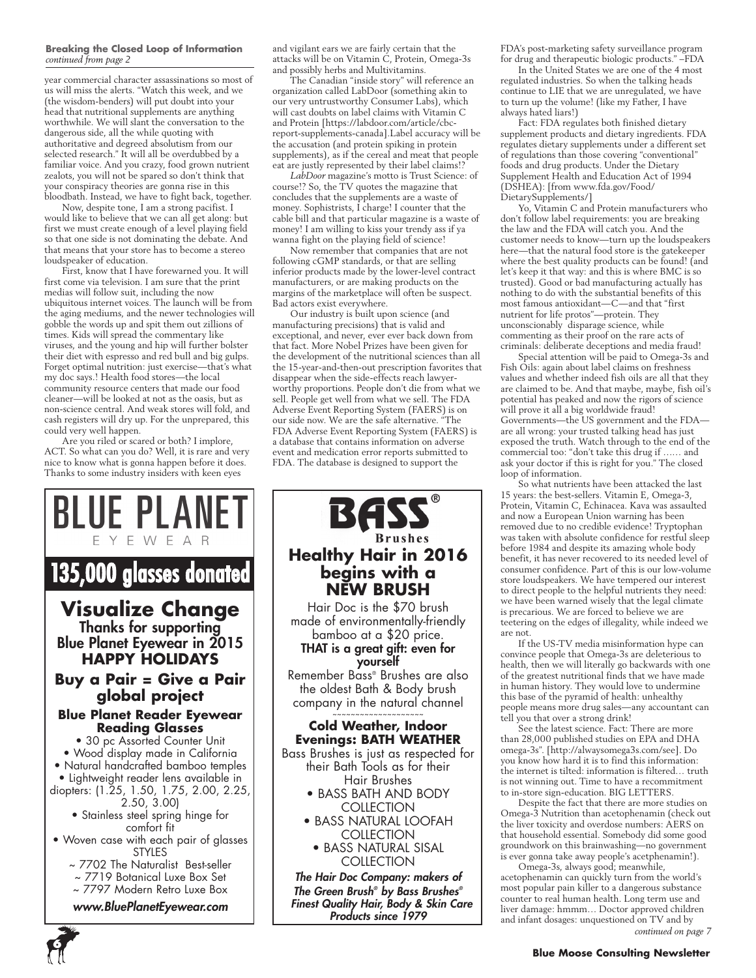#### **Breaking the Closed Loop of Information** *continued from page 2*

year commercial character assassinations so most of us will miss the alerts. "Watch this week, and we (the wisdom-benders) will put doubt into your head that nutritional supplements are anything worthwhile. We will slant the conversation to the dangerous side, all the while quoting with authoritative and degreed absolutism from our selected research." It will all be overdubbed by a familiar voice. And you crazy, food grown nutrient zealots, you will not be spared so don't think that your conspiracy theories are gonna rise in this bloodbath. Instead, we have to fight back, together.

Now, despite tone, I am a strong pacifist. I would like to believe that we can all get along: but first we must create enough of a level playing field so that one side is not dominating the debate. And that means that your store has to become a stereo loudspeaker of education.

First, know that I have forewarned you. It will first come via television. I am sure that the print medias will follow suit, including the now ubiquitous internet voices. The launch will be from the aging mediums, and the newer technologies will gobble the words up and spit them out zillions of times. Kids will spread the commentary like viruses, and the young and hip will further bolster their diet with espresso and red bull and big gulps. Forget optimal nutrition: just exercise—that's what my doc says.! Health food stores—the local community resource centers that made our food cleaner—will be looked at not as the oasis, but as non-science central. And weak stores will fold, and cash registers will dry up. For the unprepared, this could very well happen.

Are you riled or scared or both? I implore, ACT. So what can you do? Well, it is rare and very nice to know what is gonna happen before it does. Thanks to some industry insiders with keen eyes



**6**

and vigilant ears we are fairly certain that the attacks will be on Vitamin C, Protein, Omega-3s and possibly herbs and Multivitamins.

The Canadian "inside story" will reference an organization called LabDoor (something akin to our very untrustworthy Consumer Labs), which will cast doubts on label claims with Vitamin C and Protein [https://labdoor.com/article/cbcreport-supplements-canada].Label accuracy will be the accusation (and protein spiking in protein supplements), as if the cereal and meat that people eat are justly represented by their label claims!?

*LabDoor* magazine's motto is Trust Science: of course!? So, the TV quotes the magazine that concludes that the supplements are a waste of money. Sophistrists, I charge! I counter that the cable bill and that particular magazine is a waste of money! I am willing to kiss your trendy ass if ya wanna fight on the playing field of science!

Now remember that companies that are not following cGMP standards, or that are selling inferior products made by the lower-level contract manufacturers, or are making products on the margins of the marketplace will often be suspect. Bad actors exist everywhere.

Our industry is built upon science (and manufacturing precisions) that is valid and exceptional, and never, ever ever back down from that fact. More Nobel Prizes have been given for the development of the nutritional sciences than all the 15-year-and-then-out prescription favorites that disappear when the side-effects reach lawyerworthy proportions. People don't die from what we sell. People get well from what we sell. The FDA Adverse Event Reporting System (FAERS) is on our side now. We are the safe alternative. "The FDA Adverse Event Reporting System (FAERS) is a database that contains information on adverse event and medication error reports submitted to FDA. The database is designed to support the



*The Hair Doc Company: makers of The Green Brush® by Bass Brushes® Finest Quality Hair, Body & Skin Care Products since 1979*

FDA's post-marketing safety surveillance program for drug and therapeutic biologic products." –FDA

In the United States we are one of the 4 most regulated industries. So when the talking heads continue to LIE that we are unregulated, we have to turn up the volume! (like my Father, I have always hated liars!)

Fact: FDA regulates both finished dietary supplement products and dietary ingredients. FDA regulates dietary supplements under a different set of regulations than those covering "conventional" foods and drug products. Under the Dietary Supplement Health and Education Act of 1994 (DSHEA): [from www.fda.gov/Food/ DietarySupplements/]

Yo, Vitamin C and Protein manufacturers who don't follow label requirements: you are breaking the law and the FDA will catch you. And the customer needs to know—turn up the loudspeakers here—that the natural food store is the gatekeeper where the best quality products can be found! (and let's keep it that way: and this is where BMC is so trusted). Good or bad manufacturing actually has nothing to do with the substantial benefits of this most famous antioxidant—C—and that "first nutrient for life protos"—protein. They unconscionably disparage science, while commenting as their proof on the rare acts of criminals: deliberate deceptions and media fraud!

Special attention will be paid to Omega-3s and Fish Oils: again about label claims on freshness values and whether indeed fish oils are all that they are claimed to be. And that maybe, maybe, fish oil's potential has peaked and now the rigors of science will prove it all a big worldwide fraud! Governments—the US government and the FDA are all wrong: your trusted talking head has just exposed the truth. Watch through to the end of the commercial too: "don't take this drug if …… and ask your doctor if this is right for you." The closed loop of information.

So what nutrients have been attacked the last 15 years: the best-sellers. Vitamin E, Omega-3, Protein, Vitamin C, Echinacea. Kava was assaulted and now a European Union warning has been removed due to no credible evidence! Tryptophan was taken with absolute confidence for restful sleep before 1984 and despite its amazing whole body benefit, it has never recovered to its needed level of consumer confidence. Part of this is our low-volume store loudspeakers. We have tempered our interest to direct people to the helpful nutrients they need: we have been warned wisely that the legal climate is precarious. We are forced to believe we are teetering on the edges of illegality, while indeed we are not.

If the US-TV media misinformation hype can convince people that Omega-3s are deleterious to health, then we will literally go backwards with one of the greatest nutritional finds that we have made in human history. They would love to undermine this base of the pyramid of health: unhealthy people means more drug sales—any accountant can tell you that over a strong drink!

See the latest science. Fact: There are more than 28,000 published studies on EPA and DHA omega-3s". [http://alwaysomega3s.com/see]. Do you know how hard it is to find this information: the internet is tilted: information is filtered… truth is not winning out. Time to have a recommitment to in-store sign-education. BIG LETTERS.

Despite the fact that there are more studies on Omega-3 Nutrition than acetophenamin (check out the liver toxicity and overdose numbers: AERS on that household essential. Somebody did some good groundwork on this brainwashing—no government is ever gonna take away people's acetphenamin!).

Omega-3s, always good; meanwhile, acetophenamin can quickly turn from the world's most popular pain killer to a dangerous substance counter to real human health. Long term use and liver damage: hmmm… Doctor approved children and infant dosages: unquestioned on TV and by *continued on page 7*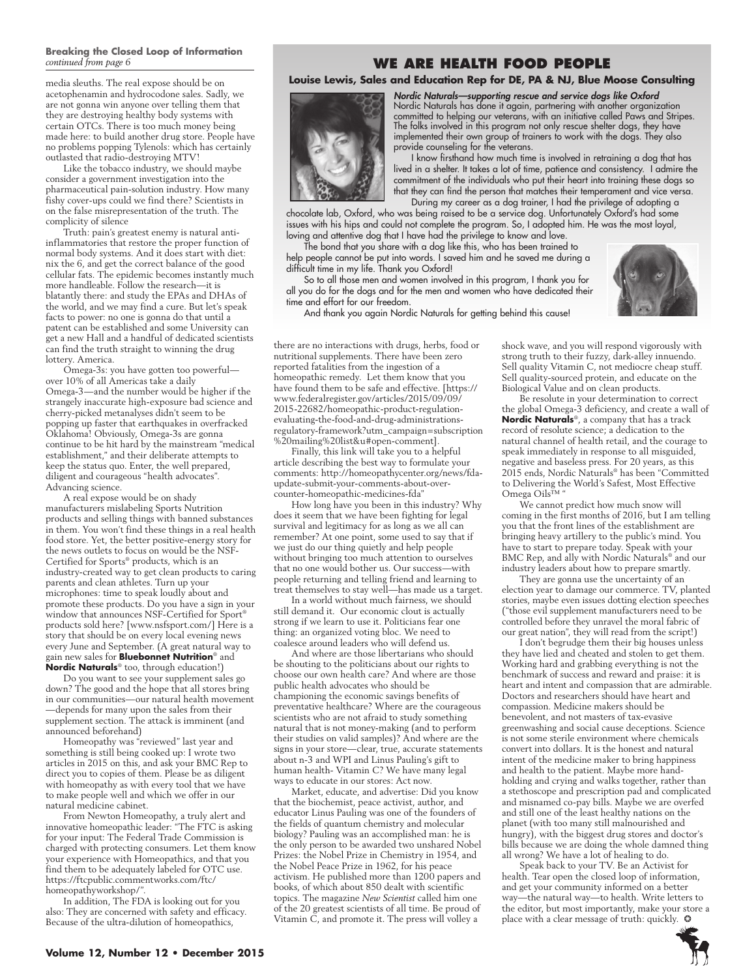#### **Breaking the Closed Loop of Information** *continued from page 6*

media sleuths. The real expose should be on acetophenamin and hydrocodone sales. Sadly, we are not gonna win anyone over telling them that they are destroying healthy body systems with certain OTCs. There is too much money being made here: to build another drug store. People have no problems popping Tylenols: which has certainly outlasted that radio-destroying MTV!

Like the tobacco industry, we should maybe consider a government investigation into the pharmaceutical pain-solution industry. How many fishy cover-ups could we find there? Scientists in on the false misrepresentation of the truth. The complicity of silence

Truth: pain's greatest enemy is natural antiinflammatories that restore the proper function of normal body systems. And it does start with diet: nix the 6, and get the correct balance of the good cellular fats. The epidemic becomes instantly much more handleable. Follow the research—it is blatantly there: and study the EPAs and DHAs of the world, and we may find a cure. But let's speak facts to power: no one is gonna do that until a patent can be established and some University can get a new Hall and a handful of dedicated scientists can find the truth straight to winning the drug lottery. America.

Omega-3s: you have gotten too powerful over 10% of all Americas take a daily Omega-3—and the number would be higher if the strangely inaccurate high-exposure bad science and cherry-picked metanalyses didn't seem to be popping up faster that earthquakes in overfracked Oklahoma! Obviously, Omega-3s are gonna continue to be hit hard by the mainstream "medical establishment," and their deliberate attempts to keep the status quo. Enter, the well prepared, diligent and courageous "health advocates". Advancing science.

A real expose would be on shady manufacturers mislabeling Sports Nutrition products and selling things with banned substances in them. You won't find these things in a real health food store. Yet, the better positive-energy story for the news outlets to focus on would be the NSF-Certified for Sports® products, which is an industry-created way to get clean products to caring parents and clean athletes. Turn up your microphones: time to speak loudly about and promote these products. Do you have a sign in your window that announces NSF-Certified for Sport® products sold here? [www.nsfsport.com/] Here is a story that should be on every local evening news every June and September. (A great natural way to gain new sales for **Bluebonnet Nutrition**® and **Nordic Naturals**® too, through education!)

Do you want to see your supplement sales go down? The good and the hope that all stores bring in our communities—our natural health movement —depends for many upon the sales from their supplement section. The attack is imminent (and announced beforehand)

Homeopathy was "reviewed" last year and something is still being cooked up: I wrote two articles in 2015 on this, and ask your BMC Rep to direct you to copies of them. Please be as diligent with homeopathy as with every tool that we have to make people well and which we offer in our natural medicine cabinet.

From Newton Homeopathy, a truly alert and innovative homeopathic leader: "The FTC is asking for your input: The Federal Trade Commission is charged with protecting consumers. Let them know your experience with Homeopathics, and that you find them to be adequately labeled for OTC use. https://ftcpublic.commentworks.com/ftc/ homeopathyworkshop/".

In addition, The FDA is looking out for you also: They are concerned with safety and efficacy. Because of the ultra-dilution of homeopathics,

## **We Are Health Food People**

### **Louise Lewis, Sales and Education Rep for DE, PA & NJ, Blue Moose Consulting**



*Nordic Naturals—supporting rescue and service dogs like Oxford* Nordic Naturals has done it again, partnering with another organization committed to helping our veterans, with an initiative called Paws and Stripes. The folks involved in this program not only rescue shelter dogs, they have implemented their own group of trainers to work with the dogs. They also provide counseling for the veterans.

I know firsthand how much time is involved in retraining a dog that has lived in a shelter. It takes a lot of time, patience and consistency. I admire the commitment of the individuals who put their heart into training these dogs so that they can find the person that matches their temperament and vice versa. During my career as a dog trainer, I had the privilege of adopting a

chocolate lab, Oxford, who was being raised to be a service dog. Unfortunately Oxford's had some issues with his hips and could not complete the program. So, I adopted him. He was the most loyal, loving and attentive dog that I have had the privilege to know and love.

The bond that you share with a dog like this, who has been trained to help people cannot be put into words. I saved him and he saved me during a difficult time in my life. Thank you Oxford!

So to all those men and women involved in this program, I thank you for all you do for the dogs and for the men and women who have dedicated their time and effort for our freedom.



And thank you again Nordic Naturals for getting behind this cause!

there are no interactions with drugs, herbs, food or nutritional supplements. There have been zero reported fatalities from the ingestion of a homeopathic remedy. Let them know that you have found them to be safe and effective. [https:// www.federalregister.gov/articles/2015/09/09/ 2015-22682/homeopathic-product-regulationevaluating-the-food-and-drug-administrationsregulatory-framework?utm\_campaign=subscription %20mailing%20list&u#open-comment].

Finally, this link will take you to a helpful article describing the best way to formulate your comments: http://homeopathycenter.org/news/fdaupdate-submit-your-comments-about-overcounter-homeopathic-medicines-fda"

How long have you been in this industry? Why does it seem that we have been fighting for legal survival and legitimacy for as long as we all can remember? At one point, some used to say that if we just do our thing quietly and help people without bringing too much attention to ourselves that no one would bother us. Our success—with people returning and telling friend and learning to treat themselves to stay well—has made us a target.

In a world without much fairness, we should still demand it. Our economic clout is actually strong if we learn to use it. Politicians fear one thing: an organized voting bloc. We need to coalesce around leaders who will defend us.

And where are those libertarians who should be shouting to the politicians about our rights to choose our own health care? And where are those public health advocates who should be championing the economic savings benefits of preventative healthcare? Where are the courageous scientists who are not afraid to study something natural that is not money-making (and to perform their studies on valid samples)? And where are the signs in your store—clear, true, accurate statements about n-3 and WPI and Linus Pauling's gift to human health- Vitamin C? We have many legal ways to educate in our stores: Act now.

Market, educate, and advertise: Did you know that the biochemist, peace activist, author, and educator Linus Pauling was one of the founders of the fields of quantum chemistry and molecular biology? Pauling was an accomplished man: he is the only person to be awarded two unshared Nobel Prizes: the Nobel Prize in Chemistry in 1954, and the Nobel Peace Prize in 1962, for his peace activism. He published more than 1200 papers and books, of which about 850 dealt with scientific topics. The magazine *New Scientist* called him one of the 20 greatest scientists of all time. Be proud of Vitamin  $\tilde{C}$ , and promote it. The press will volley a

shock wave, and you will respond vigorously with strong truth to their fuzzy, dark-alley innuendo. Sell quality Vitamin C, not mediocre cheap stuff. Sell quality-sourced protein, and educate on the Biological Value and on clean products.

Be resolute in your determination to correct the global Omega-3 deficiency, and create a wall of **Nordic Naturals**®, a company that has a track record of resolute science; a dedication to the natural channel of health retail, and the courage to speak immediately in response to all misguided, negative and baseless press. For 20 years, as this 2015 ends, Nordic Naturals® has been "Committed to Delivering the World's Safest, Most Effective Omega Oils™ "

We cannot predict how much snow will coming in the first months of 2016, but I am telling you that the front lines of the establishment are bringing heavy artillery to the public's mind. You have to start to prepare today. Speak with your BMC Rep, and ally with Nordic Naturals® and our industry leaders about how to prepare smartly.

They are gonna use the uncertainty of an election year to damage our commerce. TV, planted stories, maybe even issues dotting election speeches ("those evil supplement manufacturers need to be controlled before they unravel the moral fabric of our great nation", they will read from the script!)

I don't begrudge them their big houses unless they have lied and cheated and stolen to get them. Working hard and grabbing everything is not the benchmark of success and reward and praise: it is heart and intent and compassion that are admirable. Doctors and researchers should have heart and compassion. Medicine makers should be benevolent, and not masters of tax-evasive greenwashing and social cause deceptions. Science is not some sterile environment where chemicals convert into dollars. It is the honest and natural intent of the medicine maker to bring happiness and health to the patient. Maybe more handholding and crying and walks together, rather than a stethoscope and prescription pad and complicated and misnamed co-pay bills. Maybe we are overfed and still one of the least healthy nations on the planet (with too many still malnourished and hungry), with the biggest drug stores and doctor's bills because we are doing the whole damned thing all wrong? We have a lot of healing to do.

Speak back to your TV. Be an Activist for health. Tear open the closed loop of information, and get your community informed on a better way—the natural way—to health. Write letters to the editor, but most importantly, make your store a place with a clear message of truth: quickly. ❂